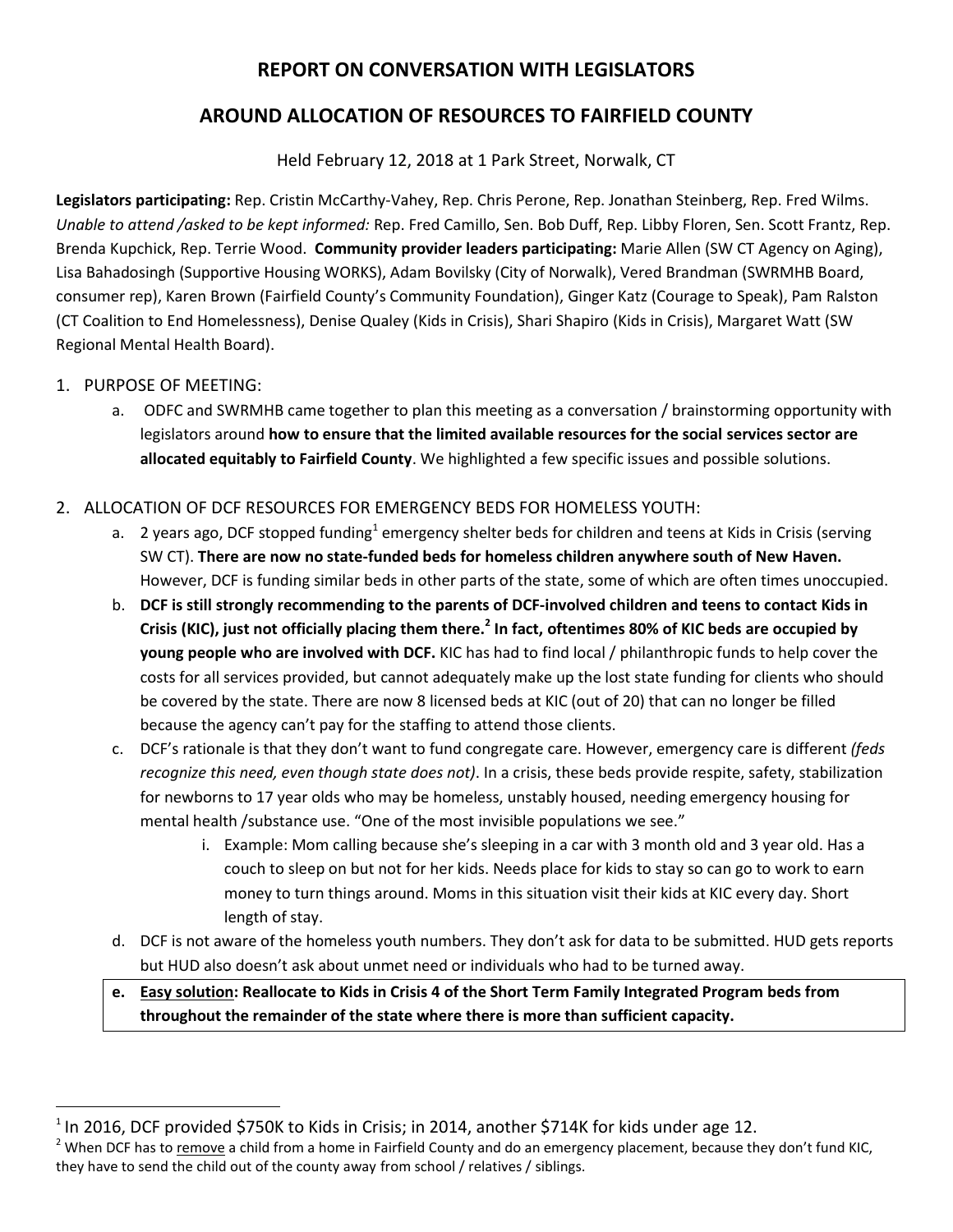# **REPORT ON CONVERSATION WITH LEGISLATORS**

# **AROUND ALLOCATION OF RESOURCES TO FAIRFIELD COUNTY**

Held February 12, 2018 at 1 Park Street, Norwalk, CT

**Legislators participating:** Rep. Cristin McCarthy-Vahey, Rep. Chris Perone, Rep. Jonathan Steinberg, Rep. Fred Wilms. *Unable to attend /asked to be kept informed:* Rep. Fred Camillo, Sen. Bob Duff, Rep. Libby Floren, Sen. Scott Frantz, Rep. Brenda Kupchick, Rep. Terrie Wood. **Community provider leaders participating:** Marie Allen (SW CT Agency on Aging), Lisa Bahadosingh (Supportive Housing WORKS), Adam Bovilsky (City of Norwalk), Vered Brandman (SWRMHB Board, consumer rep), Karen Brown (Fairfield County's Community Foundation), Ginger Katz (Courage to Speak), Pam Ralston (CT Coalition to End Homelessness), Denise Qualey (Kids in Crisis), Shari Shapiro (Kids in Crisis), Margaret Watt (SW Regional Mental Health Board).

### 1. PURPOSE OF MEETING:

l

a. ODFC and SWRMHB came together to plan this meeting as a conversation / brainstorming opportunity with legislators around **how to ensure that the limited available resources for the social services sector are allocated equitably to Fairfield County**. We highlighted a few specific issues and possible solutions.

### 2. ALLOCATION OF DCF RESOURCES FOR EMERGENCY BEDS FOR HOMELESS YOUTH:

- a. I years ago, DCF stopped funding<sup>1</sup> emergency shelter beds for children and teens at Kids in Crisis (serving SW CT). **There are now no state-funded beds for homeless children anywhere south of New Haven.** However, DCF is funding similar beds in other parts of the state, some of which are often times unoccupied.
- b. **DCF is still strongly recommending to the parents of DCF-involved children and teens to contact Kids in Crisis (KIC), just not officially placing them there.<sup>2</sup> In fact, oftentimes 80% of KIC beds are occupied by young people who are involved with DCF.** KIC has had to find local / philanthropic funds to help cover the costs for all services provided, but cannot adequately make up the lost state funding for clients who should be covered by the state. There are now 8 licensed beds at KIC (out of 20) that can no longer be filled because the agency can't pay for the staffing to attend those clients.
- c. DCF's rationale is that they don't want to fund congregate care. However, emergency care is different *(feds recognize this need, even though state does not)*. In a crisis, these beds provide respite, safety, stabilization for newborns to 17 year olds who may be homeless, unstably housed, needing emergency housing for mental health /substance use. "One of the most invisible populations we see."
	- i. Example: Mom calling because she's sleeping in a car with 3 month old and 3 year old. Has a couch to sleep on but not for her kids. Needs place for kids to stay so can go to work to earn money to turn things around. Moms in this situation visit their kids at KIC every day. Short length of stay.
- d. DCF is not aware of the homeless youth numbers. They don't ask for data to be submitted. HUD gets reports but HUD also doesn't ask about unmet need or individuals who had to be turned away.

**e. Easy solution: Reallocate to Kids in Crisis 4 of the Short Term Family Integrated Program beds from throughout the remainder of the state where there is more than sufficient capacity.**

 $^1$  In 2016, DCF provided \$750K to Kids in Crisis; in 2014, another \$714K for kids under age 12.

<sup>&</sup>lt;sup>2</sup> When DCF has to remove a child from a home in Fairfield County and do an emergency placement, because they don't fund KIC, they have to send the child out of the county away from school / relatives / siblings.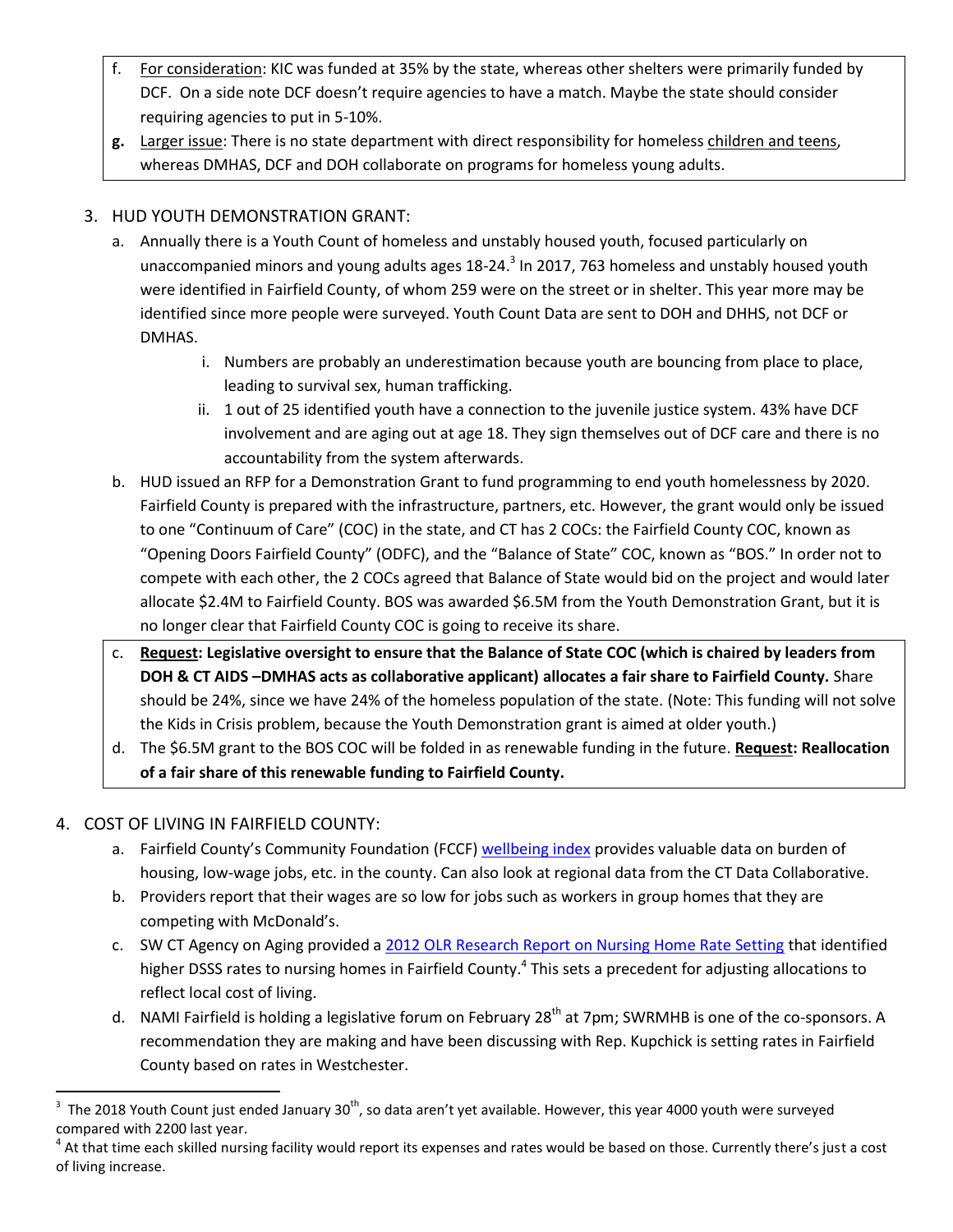- f. For consideration: KIC was funded at 35% by the state, whereas other shelters were primarily funded by DCF. On a side note DCF doesn't require agencies to have a match. Maybe the state should consider requiring agencies to put in 5-10%.
- **g.** Larger issue: There is no state department with direct responsibility for homeless children and teens, whereas DMHAS, DCF and DOH collaborate on programs for homeless young adults.

### 3. HUD YOUTH DEMONSTRATION GRANT:

- a. Annually there is a Youth Count of homeless and unstably housed youth, focused particularly on unaccompanied minors and young adults ages 18-24.<sup>3</sup> In 2017, 763 homeless and unstably housed youth were identified in Fairfield County, of whom 259 were on the street or in shelter. This year more may be identified since more people were surveyed. Youth Count Data are sent to DOH and DHHS, not DCF or DMHAS.
	- i. Numbers are probably an underestimation because youth are bouncing from place to place, leading to survival sex, human trafficking.
	- ii. 1 out of 25 identified youth have a connection to the juvenile justice system. 43% have DCF involvement and are aging out at age 18. They sign themselves out of DCF care and there is no accountability from the system afterwards.
- b. HUD issued an RFP for a Demonstration Grant to fund programming to end youth homelessness by 2020. Fairfield County is prepared with the infrastructure, partners, etc. However, the grant would only be issued to one "Continuum of Care" (COC) in the state, and CT has 2 COCs: the Fairfield County COC, known as "Opening Doors Fairfield County" (ODFC), and the "Balance of State" COC, known as "BOS." In order not to compete with each other, the 2 COCs agreed that Balance of State would bid on the project and would later allocate \$2.4M to Fairfield County. BOS was awarded \$6.5M from the Youth Demonstration Grant, but it is no longer clear that Fairfield County COC is going to receive its share.
- c. **Request: Legislative oversight to ensure that the Balance of State COC (which is chaired by leaders from DOH & CT AIDS –DMHAS acts as collaborative applicant) allocates a fair share to Fairfield County.** Share should be 24%, since we have 24% of the homeless population of the state. (Note: This funding will not solve the Kids in Crisis problem, because the Youth Demonstration grant is aimed at older youth.)
- d. The \$6.5M grant to the BOS COC will be folded in as renewable funding in the future. **Request: Reallocation of a fair share of this renewable funding to Fairfield County.**

## 4. COST OF LIVING IN FAIRFIELD COUNTY:

 $\overline{a}$ 

- a. Fairfield County's Community Foundation (FCCF) [wellbeing index](https://fccfoundation.org/5423/community-wellbeing-index-page/) provides valuable data on burden of housing, low-wage jobs, etc. in the county. Can also look at regional data from the CT Data Collaborative.
- b. Providers report that their wages are so low for jobs such as workers in group homes that they are competing with McDonald's.
- c. SW CT Agency on Aging provided [a 2012 OLR Research Report on Nursing Home Rate Setting](https://www.cga.ct.gov/2012/rpt/2012-R-0401.htm) that identified higher DSSS rates to nursing homes in Fairfield County.<sup>4</sup> This sets a precedent for adjusting allocations to reflect local cost of living.
- d. NAMI Fairfield is holding a legislative forum on February 28<sup>th</sup> at 7pm; SWRMHB is one of the co-sponsors. A recommendation they are making and have been discussing with Rep. Kupchick is setting rates in Fairfield County based on rates in Westchester.

<sup>&</sup>lt;sup>3</sup> The 2018 Youth Count just ended January 30<sup>th</sup>, so data aren't yet available. However, this year 4000 youth were surveyed compared with 2200 last year.

 $^4$  At that time each skilled nursing facility would report its expenses and rates would be based on those. Currently there's just a cost of living increase.